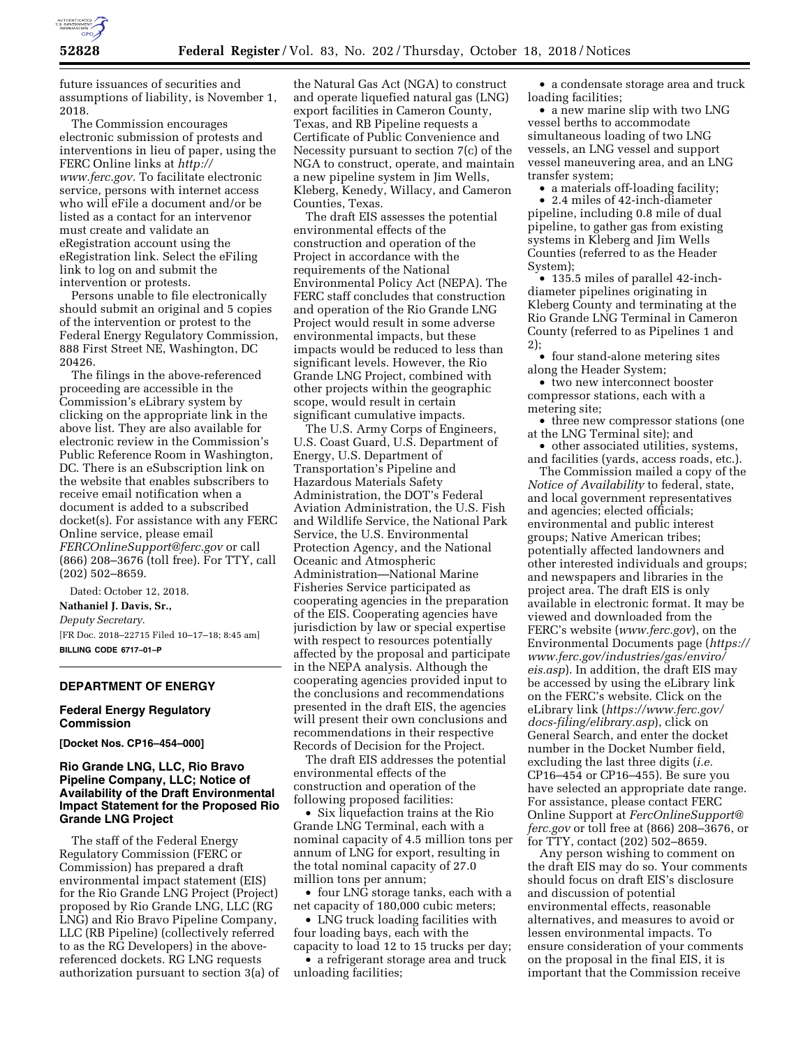

future issuances of securities and assumptions of liability, is November 1, 2018.

The Commission encourages electronic submission of protests and interventions in lieu of paper, using the FERC Online links at *[http://](http://www.ferc.gov) [www.ferc.gov.](http://www.ferc.gov)* To facilitate electronic service, persons with internet access who will eFile a document and/or be listed as a contact for an intervenor must create and validate an eRegistration account using the eRegistration link. Select the eFiling link to log on and submit the intervention or protests.

Persons unable to file electronically should submit an original and 5 copies of the intervention or protest to the Federal Energy Regulatory Commission, 888 First Street NE, Washington, DC 20426.

The filings in the above-referenced proceeding are accessible in the Commission's eLibrary system by clicking on the appropriate link in the above list. They are also available for electronic review in the Commission's Public Reference Room in Washington, DC. There is an eSubscription link on the website that enables subscribers to receive email notification when a document is added to a subscribed docket(s). For assistance with any FERC Online service, please email *[FERCOnlineSupport@ferc.gov](mailto:FERCOnlineSupport@ferc.gov)* or call (866) 208–3676 (toll free). For TTY, call (202) 502–8659.

Dated: October 12, 2018. **Nathaniel J. Davis, Sr.,**  *Deputy Secretary.*  [FR Doc. 2018–22715 Filed 10–17–18; 8:45 am] **BILLING CODE 6717–01–P** 

#### **DEPARTMENT OF ENERGY**

# **Federal Energy Regulatory Commission**

**[Docket Nos. CP16–454–000]** 

# **Rio Grande LNG, LLC, Rio Bravo Pipeline Company, LLC; Notice of Availability of the Draft Environmental Impact Statement for the Proposed Rio Grande LNG Project**

The staff of the Federal Energy Regulatory Commission (FERC or Commission) has prepared a draft environmental impact statement (EIS) for the Rio Grande LNG Project (Project) proposed by Rio Grande LNG, LLC (RG LNG) and Rio Bravo Pipeline Company, LLC (RB Pipeline) (collectively referred to as the RG Developers) in the abovereferenced dockets. RG LNG requests authorization pursuant to section 3(a) of

the Natural Gas Act (NGA) to construct and operate liquefied natural gas (LNG) export facilities in Cameron County, Texas, and RB Pipeline requests a Certificate of Public Convenience and Necessity pursuant to section 7(c) of the NGA to construct, operate, and maintain a new pipeline system in Jim Wells, Kleberg, Kenedy, Willacy, and Cameron Counties, Texas.

The draft EIS assesses the potential environmental effects of the construction and operation of the Project in accordance with the requirements of the National Environmental Policy Act (NEPA). The FERC staff concludes that construction and operation of the Rio Grande LNG Project would result in some adverse environmental impacts, but these impacts would be reduced to less than significant levels. However, the Rio Grande LNG Project, combined with other projects within the geographic scope, would result in certain significant cumulative impacts.

The U.S. Army Corps of Engineers, U.S. Coast Guard, U.S. Department of Energy, U.S. Department of Transportation's Pipeline and Hazardous Materials Safety Administration, the DOT's Federal Aviation Administration, the U.S. Fish and Wildlife Service, the National Park Service, the U.S. Environmental Protection Agency, and the National Oceanic and Atmospheric Administration—National Marine Fisheries Service participated as cooperating agencies in the preparation of the EIS. Cooperating agencies have jurisdiction by law or special expertise with respect to resources potentially affected by the proposal and participate in the NEPA analysis. Although the cooperating agencies provided input to the conclusions and recommendations presented in the draft EIS, the agencies will present their own conclusions and recommendations in their respective Records of Decision for the Project.

The draft EIS addresses the potential environmental effects of the construction and operation of the following proposed facilities:

• Six liquefaction trains at the Rio Grande LNG Terminal, each with a nominal capacity of 4.5 million tons per annum of LNG for export, resulting in the total nominal capacity of 27.0 million tons per annum;

• four LNG storage tanks, each with a net capacity of 180,000 cubic meters;

• LNG truck loading facilities with four loading bays, each with the capacity to load 12 to 15 trucks per day;

• a refrigerant storage area and truck unloading facilities;

• a condensate storage area and truck loading facilities;

• a new marine slip with two LNG vessel berths to accommodate simultaneous loading of two LNG vessels, an LNG vessel and support vessel maneuvering area, and an LNG transfer system;

• a materials off-loading facility; • 2.4 miles of 42-inch-diameter pipeline, including 0.8 mile of dual pipeline, to gather gas from existing systems in Kleberg and Jim Wells Counties (referred to as the Header System);

• 135.5 miles of parallel 42-inchdiameter pipelines originating in Kleberg County and terminating at the Rio Grande LNG Terminal in Cameron County (referred to as Pipelines 1 and 2);

• four stand-alone metering sites along the Header System;

• two new interconnect booster compressor stations, each with a metering site;

• three new compressor stations (one at the LNG Terminal site); and

• other associated utilities, systems, and facilities (yards, access roads, etc.).

The Commission mailed a copy of the *Notice of Availability* to federal, state, and local government representatives and agencies; elected officials; environmental and public interest groups; Native American tribes; potentially affected landowners and other interested individuals and groups; and newspapers and libraries in the project area. The draft EIS is only available in electronic format. It may be viewed and downloaded from the FERC's website (*[www.ferc.gov](http://www.ferc.gov)*), on the Environmental Documents page (*[https://](https://www.ferc.gov/industries/gas/enviro/eis.asp)  [www.ferc.gov/industries/gas/enviro/](https://www.ferc.gov/industries/gas/enviro/eis.asp)  [eis.asp](https://www.ferc.gov/industries/gas/enviro/eis.asp)*). In addition, the draft EIS may be accessed by using the eLibrary link on the FERC's website. Click on the eLibrary link (*[https://www.ferc.gov/](https://www.ferc.gov/docs-filing/elibrary.asp) [docs-filing/elibrary.asp](https://www.ferc.gov/docs-filing/elibrary.asp)*), click on General Search, and enter the docket number in the Docket Number field, excluding the last three digits (*i.e.*  CP16–454 or CP16–455). Be sure you have selected an appropriate date range. For assistance, please contact FERC Online Support at *[FercOnlineSupport@](mailto:FercOnlineSupport@ferc.gov) [ferc.gov](mailto:FercOnlineSupport@ferc.gov)* or toll free at (866) 208–3676, or for TTY, contact (202) 502–8659.

Any person wishing to comment on the draft EIS may do so. Your comments should focus on draft EIS's disclosure and discussion of potential environmental effects, reasonable alternatives, and measures to avoid or lessen environmental impacts. To ensure consideration of your comments on the proposal in the final EIS, it is important that the Commission receive